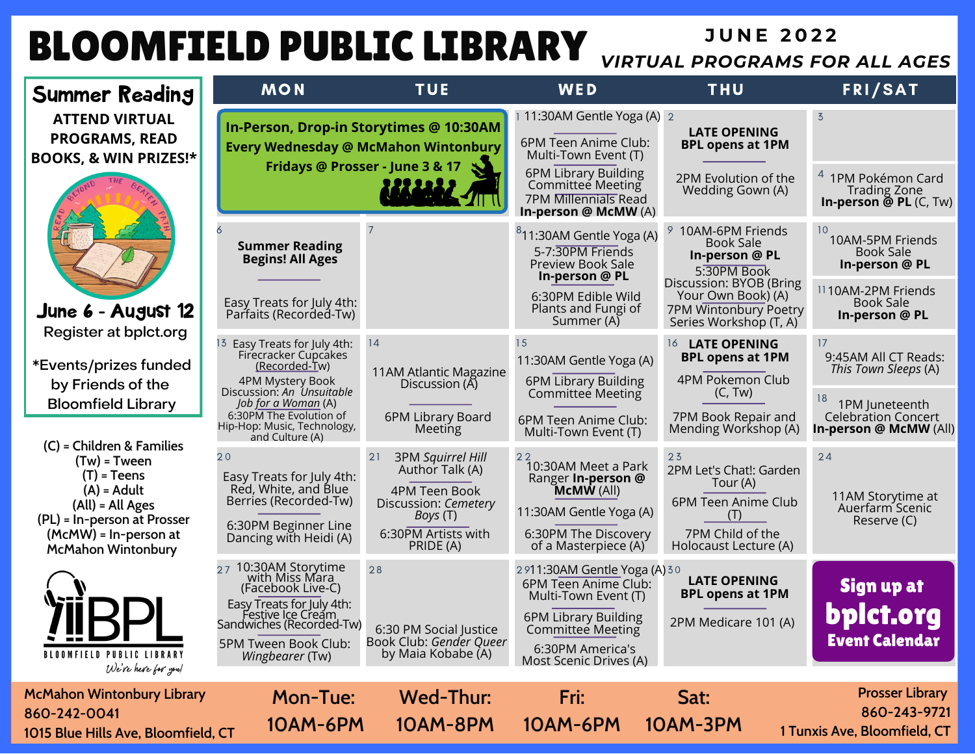## **BLOOMFIELD PUBLIC LIBRARY URTUAL PROGRAMS FO.**

## *VIRTUAL PROGRAMS FOR ALL AGES*

| Summer Reading                                                                                                                                            | <b>MON</b>                                                                                                                                                                        | <b>TUE</b>                                                                                                                                        | WED                                                                                                                                                                                  | <b>THU</b>                                                                                                                     | <b>FRI/SAT</b>                                                                                           |
|-----------------------------------------------------------------------------------------------------------------------------------------------------------|-----------------------------------------------------------------------------------------------------------------------------------------------------------------------------------|---------------------------------------------------------------------------------------------------------------------------------------------------|--------------------------------------------------------------------------------------------------------------------------------------------------------------------------------------|--------------------------------------------------------------------------------------------------------------------------------|----------------------------------------------------------------------------------------------------------|
| <b>ATTEND VIRTUAL</b><br><b>PROGRAMS, READ</b><br><b>BOOKS, &amp; WIN PRIZES!*</b>                                                                        | In-Person, Drop-in Storytimes @ 10:30AM                                                                                                                                           | <b>Every Wednesday @ McMahon Wintonbury</b><br>Fridays @ Prosser - June 3 & 17                                                                    | 11:30AM Gentle Yoga (A) 2<br>6PM Teen Anime Club:<br>Multi-Town Event (T)<br>6PM Library Building<br><b>Committee Meeting</b><br><b>7PM Millennials Read</b><br>In-person @ McMW (A) | <b>LATE OPENING</b><br><b>BPL opens at 1PM</b><br>2PM Evolution of the<br>Wedding Gown (A)                                     | $\overline{3}$<br>1PM Pokémon Card<br><b>Trading Zone</b><br>In-person $\tilde{\mathfrak{G}}$ PL (C, Tw) |
|                                                                                                                                                           | <b>Summer Reading</b><br><b>Begins! All Ages</b>                                                                                                                                  |                                                                                                                                                   | <sup>8</sup> 11:30AM Gentle Yoga (A)<br>5-7:30PM Friends<br>Preview Book Sale<br>In-person @ PL                                                                                      | 9 10AM-6PM Friends<br><b>Book Sale</b><br>In-person @ PL<br>5:30PM Book<br>Discussion: BYOB (Bring                             | 10<br>10AM-5PM Friends<br>Book Sale<br>In-person @ PL<br>1110AM-2PM Friends                              |
| June 6 - August 12                                                                                                                                        | Easy Treats for July 4th:<br>Parfaits (Recorded-Tw)                                                                                                                               |                                                                                                                                                   | 6:30PM Edible Wild<br>Plants and Fungi of<br>Summer (A)                                                                                                                              | Your Own Book) (A)<br>7PM Wintonbury Poetry<br>Series Workshop (T, A)                                                          | <b>Book Sale</b><br>In-person @ PL                                                                       |
| Register at bplct.org<br>*Events/prizes funded<br>by Friends of the                                                                                       | Easy Treats for July 4th:<br>13<br>Firecracker Cupcakes<br>(Recorded-Tw)<br>4PM Mystery Book                                                                                      | 14<br>11AM Atlantic Magazine<br>Discussion (A)                                                                                                    | 15<br>11:30AM Gentle Yoga (A)<br>6PM Library Building                                                                                                                                | 16 LATE OPENING<br><b>BPL opens at 1PM</b><br>4PM Pokemon Club                                                                 | 17<br>9:45AM All CT Reads:<br>This Town Sleeps (A)                                                       |
| <b>Bloomfield Library</b><br>(C) = Children & Families                                                                                                    | Discussion: An Unsuitable<br>Job for a Woman (A)<br>6:30PM The Evolution of<br>Hip-Hop: Music, Technology,<br>and Culture (A)                                                     | 6PM Library Board<br>Meeting                                                                                                                      | Committee Meeting<br>6PM Teen Anime Club:<br>Multi-Town Event (T)                                                                                                                    | (C, Tw)<br>7PM Book Repair and<br>Mending Workshop (A)                                                                         | 1PM Juneteenth<br><b>Celebration Concert</b><br>In-person @ McMW (All)                                   |
| $(Tw)$ = Tween<br>$(T)$ = Teens<br>$(A)$ = Adult<br>(All) = All Ages<br>(PL) = In-person at Prosser<br>(McMW) = In-person at<br><b>McMahon Wintonbury</b> | 20<br>Easy Treats for July 4th:<br>Red, White, and Blue<br>Berries (Recorded-Tw)<br>6:30PM Beginner Line<br>Dancing with Heidi (A)                                                | <b>3PM Squirrel Hill</b><br>21<br>Author Talk (A)<br>4PM Teen Book<br>Discussion: Cemetery<br><i>Boys</i> (T)<br>6:30PM Artists with<br>PRIDE (A) | 22<br>10:30AM Meet a Park<br>Ranger In-person @<br><b>McMW</b> (All)<br>11:30AM Gentle Yoga (A)<br>6:30PM The Discovery<br>of a Masterpiece (A)                                      | 23<br>2PM Let's Chat!: Garden<br>Tour (A)<br>6PM Teen Anime Club<br>$( \;   \; )$<br>7PM Child of the<br>Holocaust Lecture (A) | 24<br>11AM Storytime at<br>Auerfarm Scenic<br>Reserve (C)                                                |
| <u> 25 L.</u><br><b>BLOOMFIELD PUBLIC LIBRARY</b><br>We've heve for you!                                                                                  | 10:30AM Storytime<br>with Miss Mara<br>(Facebook Live-C)<br>Easy Treats for July 4th:<br>Festive Ice Cream<br>Sandwiches (Recorded-Tw)<br>5PM Tween Book Club:<br>Wingbearer (Tw) | 28<br>6:30 PM Social Justice<br>Book Club: Gender Queer<br>by Maia Kobabe (A)                                                                     | 2911:30AM Gentle Yoga (A) 30<br>6PM Teen Anime Club:<br>Multi-Town Event (T)<br>6PM Library Building<br>Committee Meeting<br>6:30PM America's<br>Most Scenic Drives (A)              | <b>LATE OPENING</b><br><b>BPL opens at 1PM</b><br>2PM Medicare 101 (A)                                                         | Sign up at<br>bplct.org<br><b>Event Calendar</b>                                                         |
| <b>McMahon Wintonbury Library</b><br>860-242-0041<br>1015 Blue Hills Ave, Bloomfield, CT                                                                  | <b>Mon-Tue:</b><br><b>10AM-6PM</b>                                                                                                                                                | Wed-Thur:<br>10AM-8PM                                                                                                                             | Fri:<br>10AM-6PM                                                                                                                                                                     | Sat:<br>10AM-3PM                                                                                                               | <b>Prosser Library</b><br>860-243-9721<br>1 Tunxis Ave, Bloomfield, CT                                   |